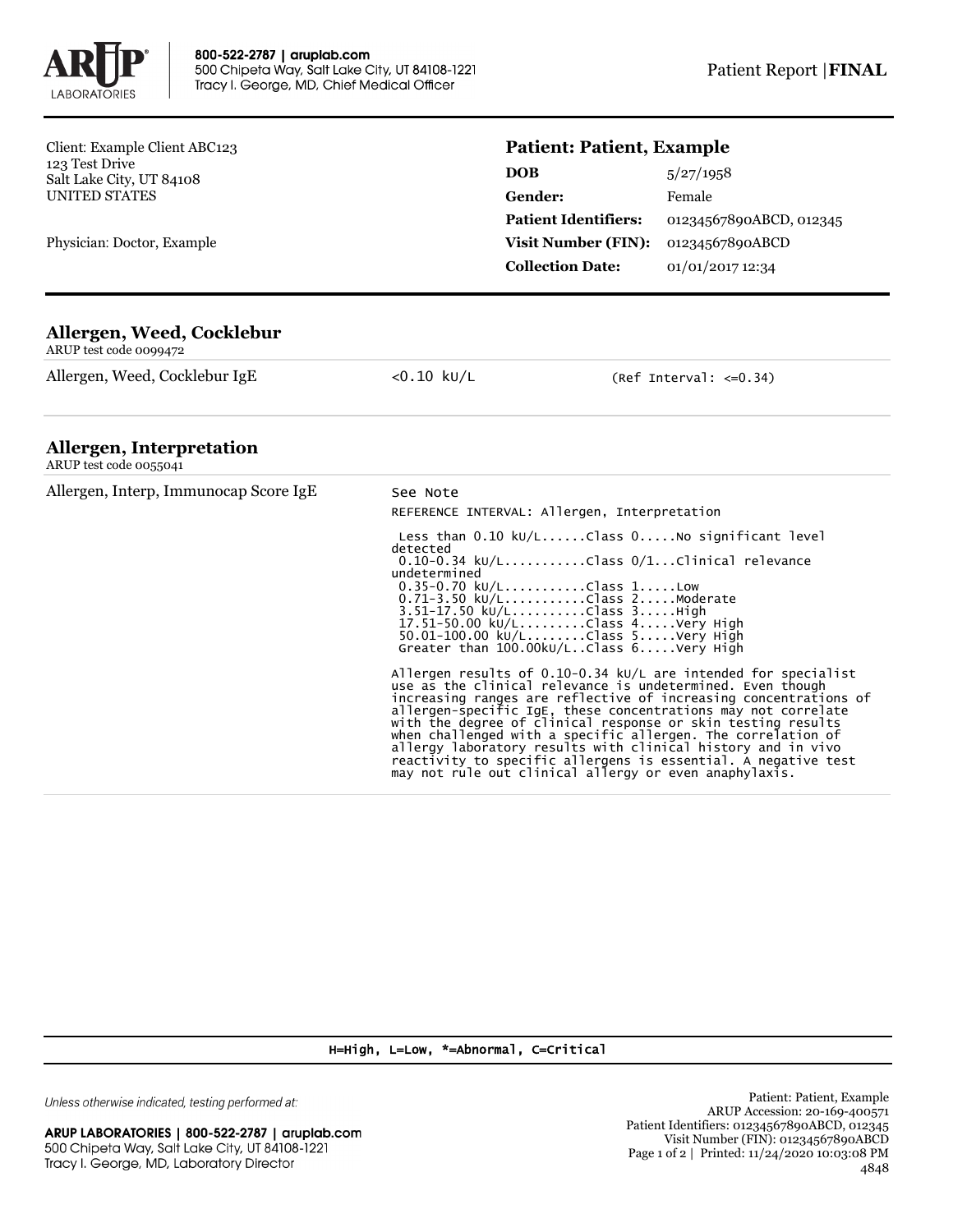

Client: Example Client ABC123 123 Test Drive Salt Lake City, UT 84108 UNITED STATES

Physician: Doctor, Example

## **Patient: Patient, Example**

| 5/27/1958               |
|-------------------------|
| Female                  |
| 01234567890ABCD, 012345 |
| 01234567890ABCD         |
| 01/01/2017 12:34        |
|                         |

## **Allergen, Weed, Cocklebur**

ARUP test code 0099472

Allergen, Weed, Cocklebur IgE <0.10 kU/L (Ref Interval: <= 0.34)

## **Allergen, Interpretation**

| $\cdots$<br>ARUP test code 0055041    |                                                                                                                                                                                                                                                                                                                                                                                                                                                                                                                                                                                                 |
|---------------------------------------|-------------------------------------------------------------------------------------------------------------------------------------------------------------------------------------------------------------------------------------------------------------------------------------------------------------------------------------------------------------------------------------------------------------------------------------------------------------------------------------------------------------------------------------------------------------------------------------------------|
| Allergen, Interp, Immunocap Score IgE | See Note<br>REFERENCE INTERVAL: Allergen, Interpretation                                                                                                                                                                                                                                                                                                                                                                                                                                                                                                                                        |
|                                       | Less than $0.10 \text{ kU/L}$ Class $0.1000$ significant level<br>detected<br>$0.10-0.34$ kU/LClass $0/1$ Clinical relevance<br>undetermined<br>$0.35 - 0.70$ kU/LClass 1Low<br>$0.71 - 3.50 \text{ kU/L}$ Class 2Moderate<br>3.51-17.50 kU/LClass 3High<br>17.51-50.00 kU/LClass 4Very High<br>50.01-100.00 kU/LClass 5Very High<br>Greater than $100.00$ kU/LClass $6. \ldots$ .Very High                                                                                                                                                                                                     |
|                                       | Allergen results of 0.10-0.34 $kU/L$ are intended for specialist<br>use as the clinical relevance is undetermined. Even though<br>increasing ranges are reflective of increasing concentrations of<br>allergen-specific IgE, these concentrations may not correlate<br>with the degree of clinical response or skin testing results<br>when challenged with a specific allergen. The correlation of<br>allergy laboratory results with clinical history and in vivo<br>reactivity to specific allergens is essential. A negative test<br>may not rule out clinical allergy or even anaphylaxis. |

H=High, L=Low, \*=Abnormal, C=Critical

Unless otherwise indicated, testing performed at: